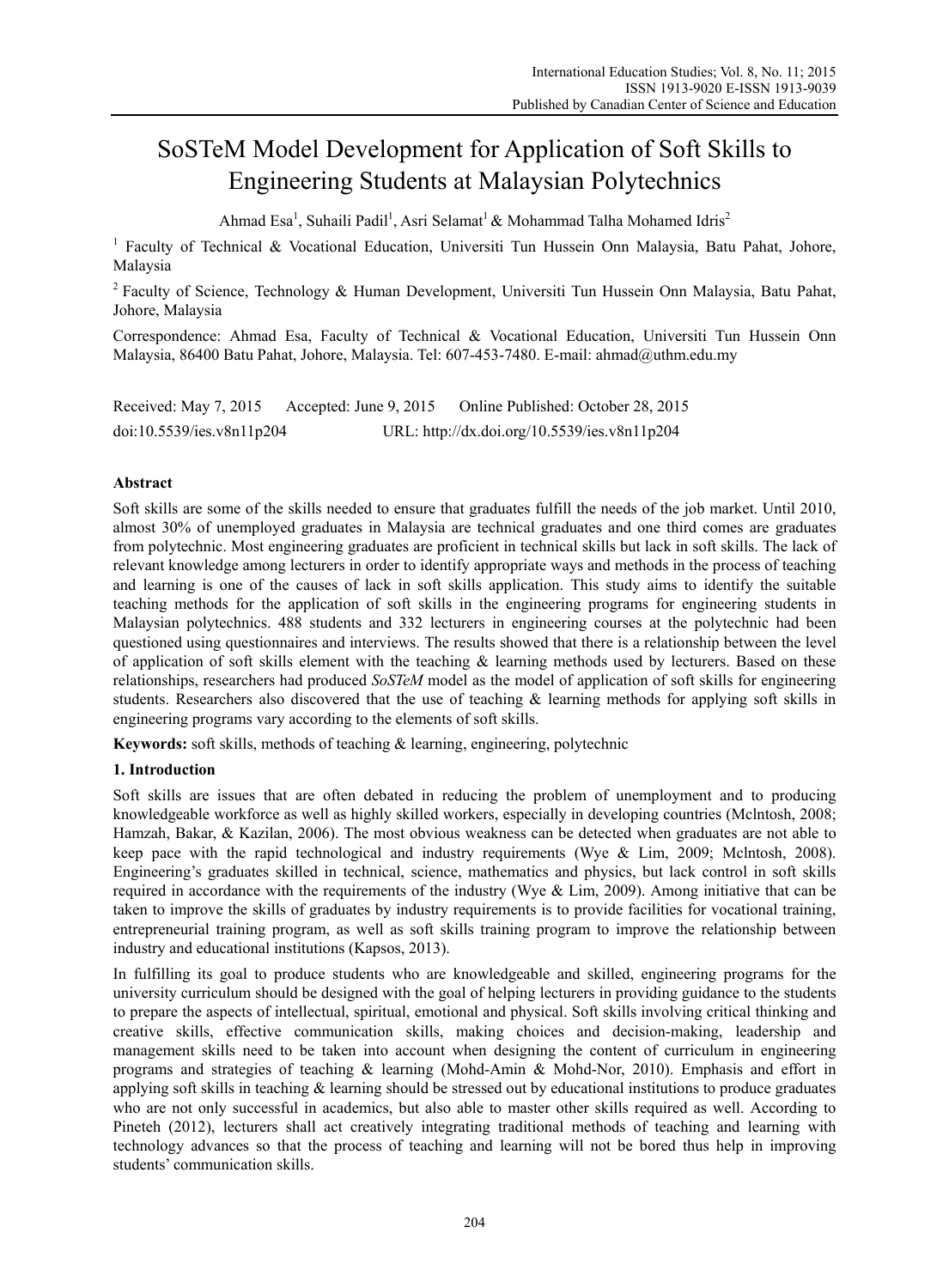# SoSTeM Model Development for Application of Soft Skills to Engineering Students at Malaysian Polytechnics

Ahmad Esa<sup>1</sup>, Suhaili Padil<sup>1</sup>, Asri Selamat<sup>1</sup> & Mohammad Talha Mohamed Idris<sup>2</sup>

<sup>1</sup> Faculty of Technical & Vocational Education, Universiti Tun Hussein Onn Malaysia, Batu Pahat, Johore, Malaysia

<sup>2</sup> Faculty of Science, Technology & Human Development, Universiti Tun Hussein Onn Malaysia, Batu Pahat, Johore, Malaysia

Correspondence: Ahmad Esa, Faculty of Technical & Vocational Education, Universiti Tun Hussein Onn Malaysia, 86400 Batu Pahat, Johore, Malaysia. Tel: 607-453-7480. E-mail: ahmad@uthm.edu.my

Received: May 7, 2015 Accepted: June 9, 2015 Online Published: October 28, 2015 doi:10.5539/ies.v8n11p204 URL: http://dx.doi.org/10.5539/ies.v8n11p204

# **Abstract**

Soft skills are some of the skills needed to ensure that graduates fulfill the needs of the job market. Until 2010, almost 30% of unemployed graduates in Malaysia are technical graduates and one third comes are graduates from polytechnic. Most engineering graduates are proficient in technical skills but lack in soft skills. The lack of relevant knowledge among lecturers in order to identify appropriate ways and methods in the process of teaching and learning is one of the causes of lack in soft skills application. This study aims to identify the suitable teaching methods for the application of soft skills in the engineering programs for engineering students in Malaysian polytechnics. 488 students and 332 lecturers in engineering courses at the polytechnic had been questioned using questionnaires and interviews. The results showed that there is a relationship between the level of application of soft skills element with the teaching  $\&$  learning methods used by lecturers. Based on these relationships, researchers had produced *SoSTeM* model as the model of application of soft skills for engineering students. Researchers also discovered that the use of teaching & learning methods for applying soft skills in engineering programs vary according to the elements of soft skills.

**Keywords:** soft skills, methods of teaching & learning, engineering, polytechnic

# **1. Introduction**

Soft skills are issues that are often debated in reducing the problem of unemployment and to producing knowledgeable workforce as well as highly skilled workers, especially in developing countries (Mclntosh, 2008; Hamzah, Bakar, & Kazilan, 2006). The most obvious weakness can be detected when graduates are not able to keep pace with the rapid technological and industry requirements (Wye & Lim, 2009; Mclntosh, 2008). Engineering's graduates skilled in technical, science, mathematics and physics, but lack control in soft skills required in accordance with the requirements of the industry (Wye & Lim, 2009). Among initiative that can be taken to improve the skills of graduates by industry requirements is to provide facilities for vocational training, entrepreneurial training program, as well as soft skills training program to improve the relationship between industry and educational institutions (Kapsos, 2013).

In fulfilling its goal to produce students who are knowledgeable and skilled, engineering programs for the university curriculum should be designed with the goal of helping lecturers in providing guidance to the students to prepare the aspects of intellectual, spiritual, emotional and physical. Soft skills involving critical thinking and creative skills, effective communication skills, making choices and decision-making, leadership and management skills need to be taken into account when designing the content of curriculum in engineering programs and strategies of teaching & learning (Mohd-Amin & Mohd-Nor, 2010). Emphasis and effort in applying soft skills in teaching & learning should be stressed out by educational institutions to produce graduates who are not only successful in academics, but also able to master other skills required as well. According to Pineteh (2012), lecturers shall act creatively integrating traditional methods of teaching and learning with technology advances so that the process of teaching and learning will not be bored thus help in improving students' communication skills.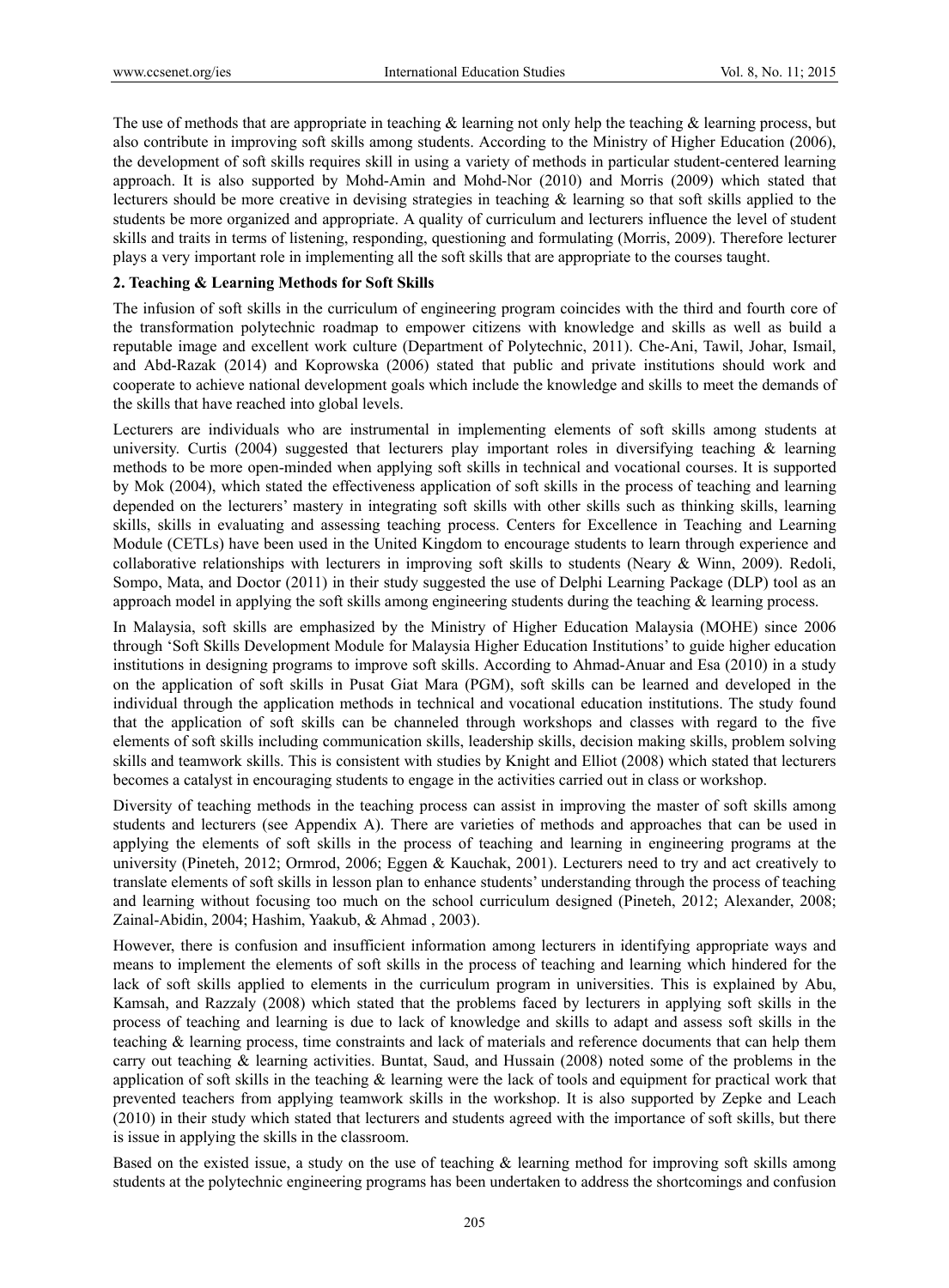The use of methods that are appropriate in teaching  $\&$  learning not only help the teaching  $\&$  learning process, but also contribute in improving soft skills among students. According to the Ministry of Higher Education (2006), the development of soft skills requires skill in using a variety of methods in particular student-centered learning approach. It is also supported by Mohd-Amin and Mohd-Nor (2010) and Morris (2009) which stated that lecturers should be more creative in devising strategies in teaching & learning so that soft skills applied to the students be more organized and appropriate. A quality of curriculum and lecturers influence the level of student skills and traits in terms of listening, responding, questioning and formulating (Morris, 2009). Therefore lecturer plays a very important role in implementing all the soft skills that are appropriate to the courses taught.

## **2. Teaching & Learning Methods for Soft Skills**

The infusion of soft skills in the curriculum of engineering program coincides with the third and fourth core of the transformation polytechnic roadmap to empower citizens with knowledge and skills as well as build a reputable image and excellent work culture (Department of Polytechnic, 2011). Che-Ani, Tawil, Johar, Ismail, and Abd-Razak (2014) and Koprowska (2006) stated that public and private institutions should work and cooperate to achieve national development goals which include the knowledge and skills to meet the demands of the skills that have reached into global levels.

Lecturers are individuals who are instrumental in implementing elements of soft skills among students at university. Curtis (2004) suggested that lecturers play important roles in diversifying teaching & learning methods to be more open-minded when applying soft skills in technical and vocational courses. It is supported by Mok (2004), which stated the effectiveness application of soft skills in the process of teaching and learning depended on the lecturers' mastery in integrating soft skills with other skills such as thinking skills, learning skills, skills in evaluating and assessing teaching process. Centers for Excellence in Teaching and Learning Module (CETLs) have been used in the United Kingdom to encourage students to learn through experience and collaborative relationships with lecturers in improving soft skills to students (Neary & Winn, 2009). Redoli, Sompo, Mata, and Doctor (2011) in their study suggested the use of Delphi Learning Package (DLP) tool as an approach model in applying the soft skills among engineering students during the teaching & learning process.

In Malaysia, soft skills are emphasized by the Ministry of Higher Education Malaysia (MOHE) since 2006 through 'Soft Skills Development Module for Malaysia Higher Education Institutions' to guide higher education institutions in designing programs to improve soft skills. According to Ahmad-Anuar and Esa (2010) in a study on the application of soft skills in Pusat Giat Mara (PGM), soft skills can be learned and developed in the individual through the application methods in technical and vocational education institutions. The study found that the application of soft skills can be channeled through workshops and classes with regard to the five elements of soft skills including communication skills, leadership skills, decision making skills, problem solving skills and teamwork skills. This is consistent with studies by Knight and Elliot (2008) which stated that lecturers becomes a catalyst in encouraging students to engage in the activities carried out in class or workshop.

Diversity of teaching methods in the teaching process can assist in improving the master of soft skills among students and lecturers (see Appendix A). There are varieties of methods and approaches that can be used in applying the elements of soft skills in the process of teaching and learning in engineering programs at the university (Pineteh, 2012; Ormrod, 2006; Eggen & Kauchak, 2001). Lecturers need to try and act creatively to translate elements of soft skills in lesson plan to enhance students' understanding through the process of teaching and learning without focusing too much on the school curriculum designed (Pineteh, 2012; Alexander, 2008; Zainal-Abidin, 2004; Hashim, Yaakub, & Ahmad , 2003).

However, there is confusion and insufficient information among lecturers in identifying appropriate ways and means to implement the elements of soft skills in the process of teaching and learning which hindered for the lack of soft skills applied to elements in the curriculum program in universities. This is explained by Abu, Kamsah, and Razzaly (2008) which stated that the problems faced by lecturers in applying soft skills in the process of teaching and learning is due to lack of knowledge and skills to adapt and assess soft skills in the teaching & learning process, time constraints and lack of materials and reference documents that can help them carry out teaching & learning activities. Buntat, Saud, and Hussain (2008) noted some of the problems in the application of soft skills in the teaching  $\&$  learning were the lack of tools and equipment for practical work that prevented teachers from applying teamwork skills in the workshop. It is also supported by Zepke and Leach (2010) in their study which stated that lecturers and students agreed with the importance of soft skills, but there is issue in applying the skills in the classroom.

Based on the existed issue, a study on the use of teaching & learning method for improving soft skills among students at the polytechnic engineering programs has been undertaken to address the shortcomings and confusion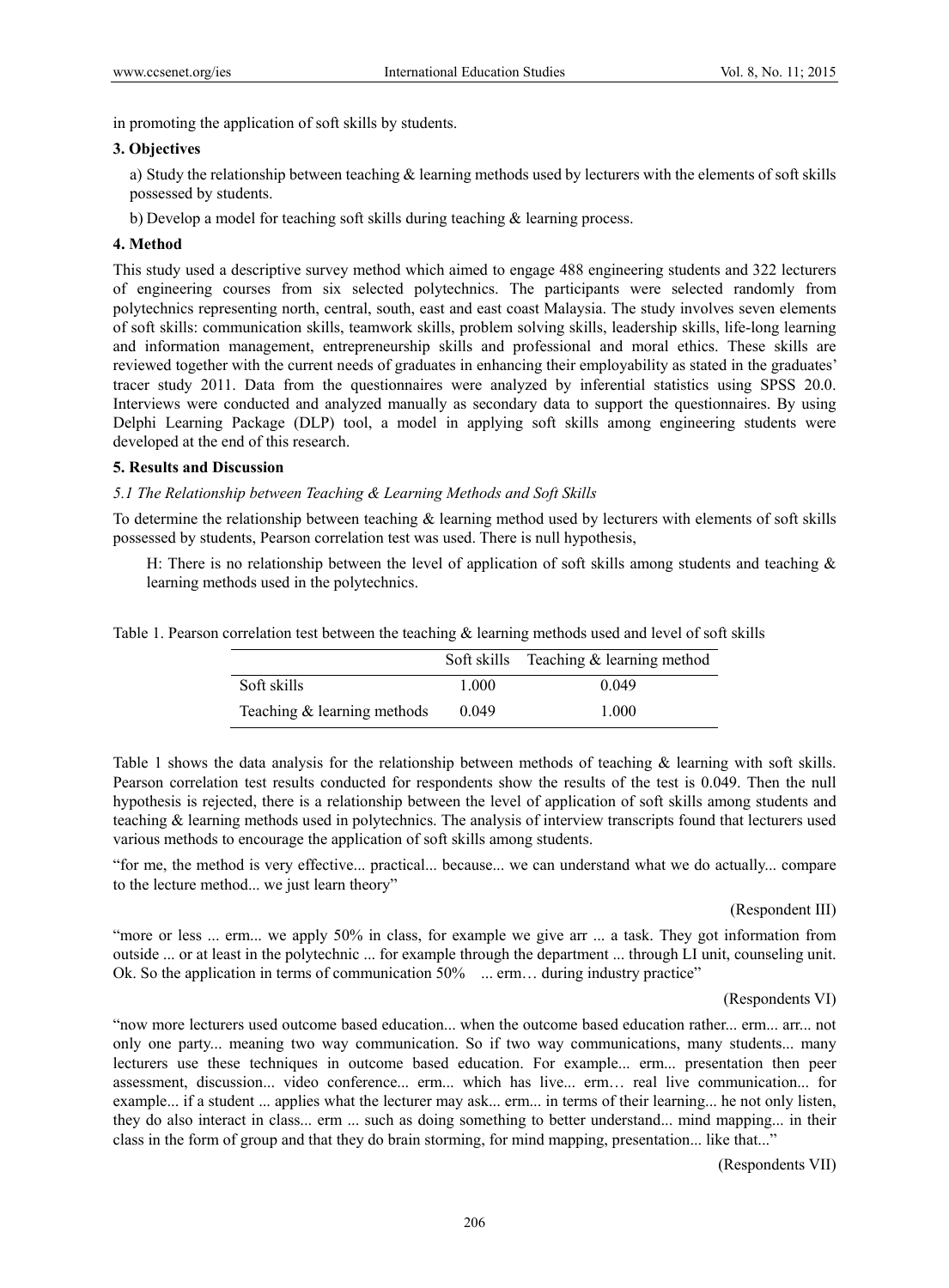in promoting the application of soft skills by students.

### **3. Objectives**

a) Study the relationship between teaching & learning methods used by lecturers with the elements of soft skills possessed by students.

b) Develop a model for teaching soft skills during teaching & learning process.

## **4. Method**

This study used a descriptive survey method which aimed to engage 488 engineering students and 322 lecturers of engineering courses from six selected polytechnics. The participants were selected randomly from polytechnics representing north, central, south, east and east coast Malaysia. The study involves seven elements of soft skills: communication skills, teamwork skills, problem solving skills, leadership skills, life-long learning and information management, entrepreneurship skills and professional and moral ethics. These skills are reviewed together with the current needs of graduates in enhancing their employability as stated in the graduates' tracer study 2011. Data from the questionnaires were analyzed by inferential statistics using SPSS 20.0. Interviews were conducted and analyzed manually as secondary data to support the questionnaires. By using Delphi Learning Package (DLP) tool, a model in applying soft skills among engineering students were developed at the end of this research.

### **5. Results and Discussion**

### *5.1 The Relationship between Teaching & Learning Methods and Soft Skills*

To determine the relationship between teaching & learning method used by lecturers with elements of soft skills possessed by students, Pearson correlation test was used. There is null hypothesis,

H: There is no relationship between the level of application of soft skills among students and teaching  $\&$ learning methods used in the polytechnics.

Table 1. Pearson correlation test between the teaching & learning methods used and level of soft skills

|                               | Soft skills | Teaching & learning method |
|-------------------------------|-------------|----------------------------|
| Soft skills                   | 1.000       | 0.049                      |
| Teaching $&$ learning methods | 0.049       | 1 000                      |

Table 1 shows the data analysis for the relationship between methods of teaching & learning with soft skills. Pearson correlation test results conducted for respondents show the results of the test is 0.049. Then the null hypothesis is rejected, there is a relationship between the level of application of soft skills among students and teaching & learning methods used in polytechnics. The analysis of interview transcripts found that lecturers used various methods to encourage the application of soft skills among students.

"for me, the method is very effective... practical... because... we can understand what we do actually... compare to the lecture method... we just learn theory"

## (Respondent III)

"more or less ... erm... we apply 50% in class, for example we give arr ... a task. They got information from outside ... or at least in the polytechnic ... for example through the department ... through LI unit, counseling unit. Ok. So the application in terms of communication 50% ... erm… during industry practice"

#### (Respondents VI)

"now more lecturers used outcome based education... when the outcome based education rather... erm... arr... not only one party... meaning two way communication. So if two way communications, many students... many lecturers use these techniques in outcome based education. For example... erm... presentation then peer assessment, discussion... video conference... erm... which has live... erm… real live communication... for example... if a student ... applies what the lecturer may ask... erm... in terms of their learning... he not only listen, they do also interact in class... erm ... such as doing something to better understand... mind mapping... in their class in the form of group and that they do brain storming, for mind mapping, presentation... like that..."

(Respondents VII)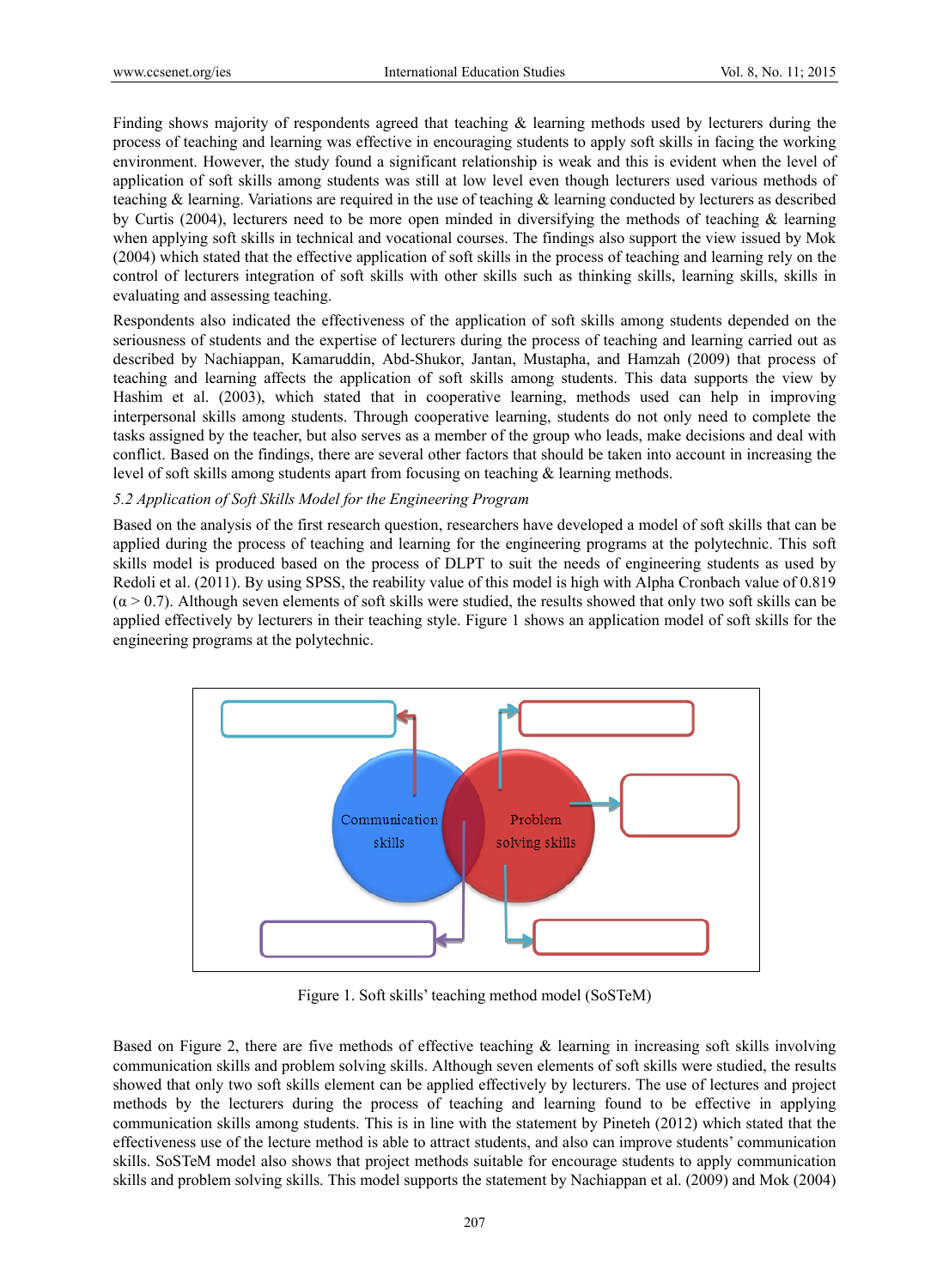Finding shows majority of respondents agreed that teaching & learning methods used by lecturers during the process of teaching and learning was effective in encouraging students to apply soft skills in facing the working environment. However, the study found a significant relationship is weak and this is evident when the level of application of soft skills among students was still at low level even though lecturers used various methods of teaching & learning. Variations are required in the use of teaching & learning conducted by lecturers as described by Curtis (2004), lecturers need to be more open minded in diversifying the methods of teaching & learning when applying soft skills in technical and vocational courses. The findings also support the view issued by Mok (2004) which stated that the effective application of soft skills in the process of teaching and learning rely on the control of lecturers integration of soft skills with other skills such as thinking skills, learning skills, skills in evaluating and assessing teaching.

Respondents also indicated the effectiveness of the application of soft skills among students depended on the seriousness of students and the expertise of lecturers during the process of teaching and learning carried out as described by Nachiappan, Kamaruddin, Abd-Shukor, Jantan, Mustapha, and Hamzah (2009) that process of teaching and learning affects the application of soft skills among students. This data supports the view by Hashim et al. (2003), which stated that in cooperative learning, methods used can help in improving interpersonal skills among students. Through cooperative learning, students do not only need to complete the tasks assigned by the teacher, but also serves as a member of the group who leads, make decisions and deal with conflict. Based on the findings, there are several other factors that should be taken into account in increasing the level of soft skills among students apart from focusing on teaching & learning methods.

## *5.2 Application of Soft Skills Model for the Engineering Program*

Based on the analysis of the first research question, researchers have developed a model of soft skills that can be applied during the process of teaching and learning for the engineering programs at the polytechnic. This soft skills model is produced based on the process of DLPT to suit the needs of engineering students as used by Redoli et al. (2011). By using SPSS, the reability value of this model is high with Alpha Cronbach value of 0.819  $(\alpha > 0.7)$ . Although seven elements of soft skills were studied, the results showed that only two soft skills can be applied effectively by lecturers in their teaching style. Figure 1 shows an application model of soft skills for the engineering programs at the polytechnic.



Figure 1. Soft skills' teaching method model (SoSTeM)

Based on Figure 2, there are five methods of effective teaching  $\&$  learning in increasing soft skills involving communication skills and problem solving skills. Although seven elements of soft skills were studied, the results showed that only two soft skills element can be applied effectively by lecturers. The use of lectures and project methods by the lecturers during the process of teaching and learning found to be effective in applying communication skills among students. This is in line with the statement by Pineteh (2012) which stated that the effectiveness use of the lecture method is able to attract students, and also can improve students' communication skills. SoSTeM model also shows that project methods suitable for encourage students to apply communication skills and problem solving skills. This model supports the statement by Nachiappan et al. (2009) and Mok (2004)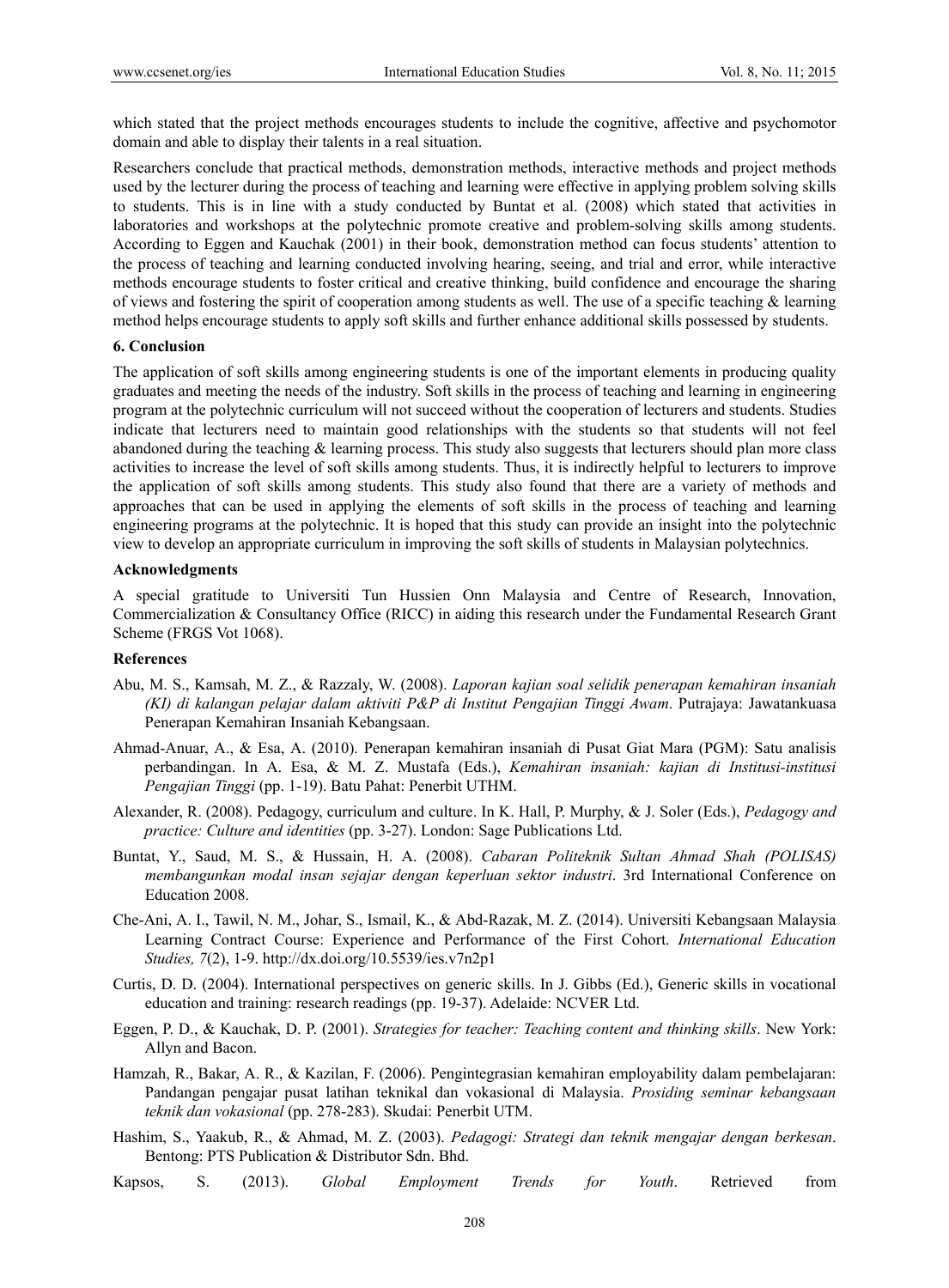which stated that the project methods encourages students to include the cognitive, affective and psychomotor domain and able to display their talents in a real situation.

Researchers conclude that practical methods, demonstration methods, interactive methods and project methods used by the lecturer during the process of teaching and learning were effective in applying problem solving skills to students. This is in line with a study conducted by Buntat et al. (2008) which stated that activities in laboratories and workshops at the polytechnic promote creative and problem-solving skills among students. According to Eggen and Kauchak (2001) in their book, demonstration method can focus students' attention to the process of teaching and learning conducted involving hearing, seeing, and trial and error, while interactive methods encourage students to foster critical and creative thinking, build confidence and encourage the sharing of views and fostering the spirit of cooperation among students as well. The use of a specific teaching  $\&$  learning method helps encourage students to apply soft skills and further enhance additional skills possessed by students.

## **6. Conclusion**

The application of soft skills among engineering students is one of the important elements in producing quality graduates and meeting the needs of the industry. Soft skills in the process of teaching and learning in engineering program at the polytechnic curriculum will not succeed without the cooperation of lecturers and students. Studies indicate that lecturers need to maintain good relationships with the students so that students will not feel abandoned during the teaching  $\&$  learning process. This study also suggests that lecturers should plan more class activities to increase the level of soft skills among students. Thus, it is indirectly helpful to lecturers to improve the application of soft skills among students. This study also found that there are a variety of methods and approaches that can be used in applying the elements of soft skills in the process of teaching and learning engineering programs at the polytechnic. It is hoped that this study can provide an insight into the polytechnic view to develop an appropriate curriculum in improving the soft skills of students in Malaysian polytechnics.

### **Acknowledgments**

A special gratitude to Universiti Tun Hussien Onn Malaysia and Centre of Research, Innovation, Commercialization & Consultancy Office (RICC) in aiding this research under the Fundamental Research Grant Scheme (FRGS Vot 1068).

#### **References**

- Abu, M. S., Kamsah, M. Z., & Razzaly, W. (2008). *Laporan kajian soal selidik penerapan kemahiran insaniah (KI) di kalangan pelajar dalam aktiviti P&P di Institut Pengajian Tinggi Awam*. Putrajaya: Jawatankuasa Penerapan Kemahiran Insaniah Kebangsaan.
- Ahmad-Anuar, A., & Esa, A. (2010). Penerapan kemahiran insaniah di Pusat Giat Mara (PGM): Satu analisis perbandingan. In A. Esa, & M. Z. Mustafa (Eds.), *Kemahiran insaniah: kajian di Institusi-institusi Pengajian Tinggi* (pp. 1-19). Batu Pahat: Penerbit UTHM.
- Alexander, R. (2008). Pedagogy, curriculum and culture. In K. Hall, P. Murphy, & J. Soler (Eds.), *Pedagogy and practice: Culture and identities* (pp. 3-27). London: Sage Publications Ltd.
- Buntat, Y., Saud, M. S., & Hussain, H. A. (2008). *Cabaran Politeknik Sultan Ahmad Shah (POLISAS) membangunkan modal insan sejajar dengan keperluan sektor industri*. 3rd International Conference on Education 2008.
- Che-Ani, A. I., Tawil, N. M., Johar, S., Ismail, K., & Abd-Razak, M. Z. (2014). Universiti Kebangsaan Malaysia Learning Contract Course: Experience and Performance of the First Cohort. *International Education Studies, 7*(2), 1-9. http://dx.doi.org/10.5539/ies.v7n2p1
- Curtis, D. D. (2004). International perspectives on generic skills. In J. Gibbs (Ed.), Generic skills in vocational education and training: research readings (pp. 19-37). Adelaide: NCVER Ltd.
- Eggen, P. D., & Kauchak, D. P. (2001). *Strategies for teacher: Teaching content and thinking skills*. New York: Allyn and Bacon.
- Hamzah, R., Bakar, A. R., & Kazilan, F. (2006). Pengintegrasian kemahiran employability dalam pembelajaran: Pandangan pengajar pusat latihan teknikal dan vokasional di Malaysia. *Prosiding seminar kebangsaan teknik dan vokasional* (pp. 278-283). Skudai: Penerbit UTM.
- Hashim, S., Yaakub, R., & Ahmad, M. Z. (2003). *Pedagogi: Strategi dan teknik mengajar dengan berkesan*. Bentong: PTS Publication & Distributor Sdn. Bhd.
- Kapsos, S. (2013). *Global Employment Trends for Youth*. Retrieved from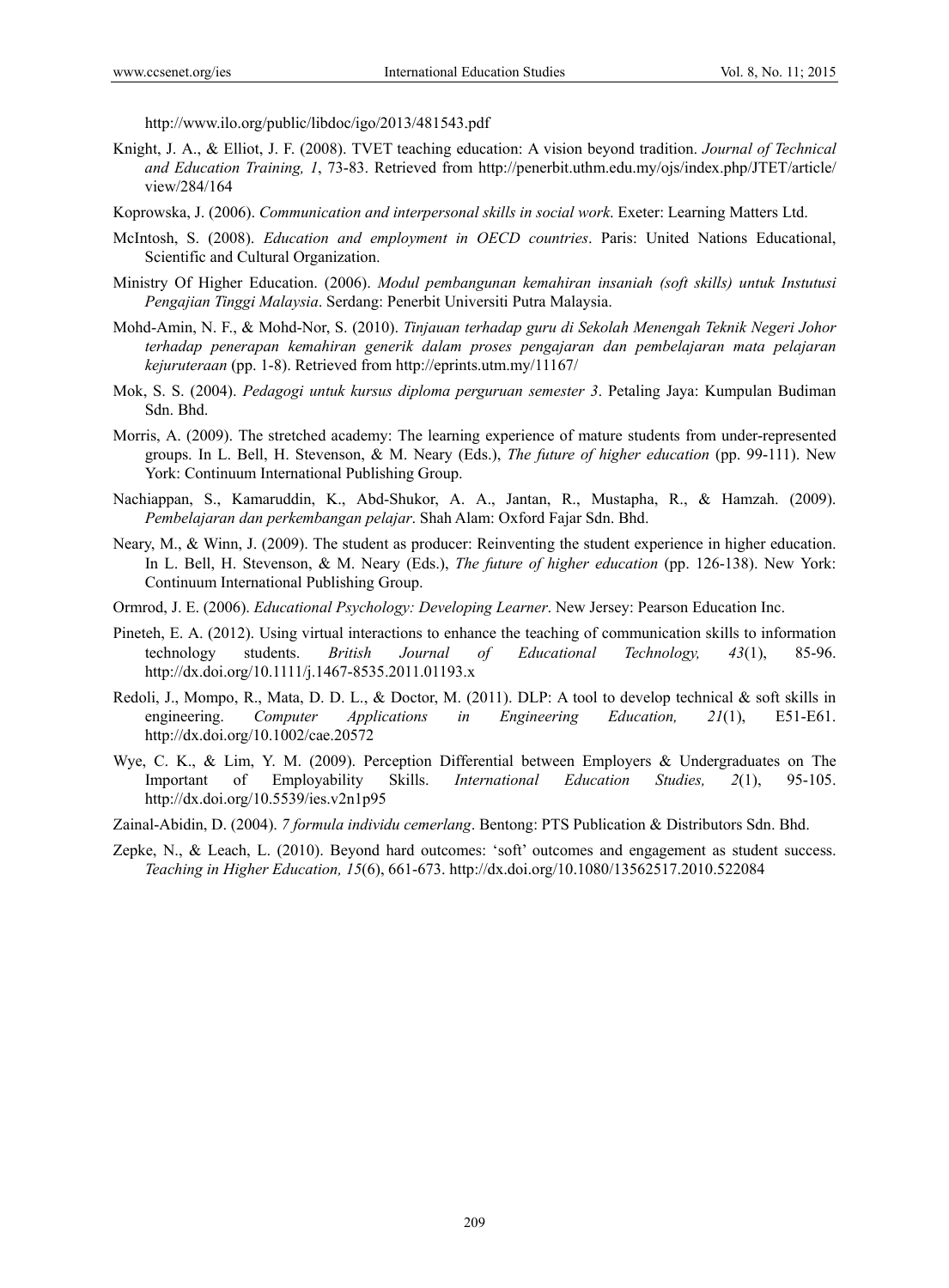http://www.ilo.org/public/libdoc/igo/2013/481543.pdf

- Knight, J. A., & Elliot, J. F. (2008). TVET teaching education: A vision beyond tradition. *Journal of Technical and Education Training, 1*, 73-83. Retrieved from http://penerbit.uthm.edu.my/ojs/index.php/JTET/article/ view/284/164
- Koprowska, J. (2006). *Communication and interpersonal skills in social work*. Exeter: Learning Matters Ltd.
- McIntosh, S. (2008). *Education and employment in OECD countries*. Paris: United Nations Educational, Scientific and Cultural Organization.
- Ministry Of Higher Education. (2006). *Modul pembangunan kemahiran insaniah (soft skills) untuk Instutusi Pengajian Tinggi Malaysia*. Serdang: Penerbit Universiti Putra Malaysia.
- Mohd-Amin, N. F., & Mohd-Nor, S. (2010). *Tinjauan terhadap guru di Sekolah Menengah Teknik Negeri Johor terhadap penerapan kemahiran generik dalam proses pengajaran dan pembelajaran mata pelajaran kejuruteraan* (pp. 1-8). Retrieved from http://eprints.utm.my/11167/
- Mok, S. S. (2004). *Pedagogi untuk kursus diploma perguruan semester 3*. Petaling Jaya: Kumpulan Budiman Sdn. Bhd.
- Morris, A. (2009). The stretched academy: The learning experience of mature students from under-represented groups. In L. Bell, H. Stevenson, & M. Neary (Eds.), *The future of higher education* (pp. 99-111). New York: Continuum International Publishing Group.
- Nachiappan, S., Kamaruddin, K., Abd-Shukor, A. A., Jantan, R., Mustapha, R., & Hamzah. (2009). *Pembelajaran dan perkembangan pelajar*. Shah Alam: Oxford Fajar Sdn. Bhd.
- Neary, M., & Winn, J. (2009). The student as producer: Reinventing the student experience in higher education. In L. Bell, H. Stevenson, & M. Neary (Eds.), *The future of higher education* (pp. 126-138). New York: Continuum International Publishing Group.
- Ormrod, J. E. (2006). *Educational Psychology: Developing Learner*. New Jersey: Pearson Education Inc.
- Pineteh, E. A. (2012). Using virtual interactions to enhance the teaching of communication skills to information technology students. *British Journal of Educational Technology, 43*(1), 85-96. http://dx.doi.org/10.1111/j.1467-8535.2011.01193.x
- Redoli, J., Mompo, R., Mata, D. D. L., & Doctor, M. (2011). DLP: A tool to develop technical & soft skills in engineering. *Computer Applications in Engineering Education, 21*(1), E51-E61. http://dx.doi.org/10.1002/cae.20572
- Wye, C. K., & Lim, Y. M. (2009). Perception Differential between Employers & Undergraduates on The Important of Employability Skills. *International Education Studies, 2*(1), 95-105. http://dx.doi.org/10.5539/ies.v2n1p95
- Zainal-Abidin, D. (2004). *7 formula individu cemerlang*. Bentong: PTS Publication & Distributors Sdn. Bhd.
- Zepke, N., & Leach, L. (2010). Beyond hard outcomes: 'soft' outcomes and engagement as student success. *Teaching in Higher Education, 15*(6), 661-673. http://dx.doi.org/10.1080/13562517.2010.522084